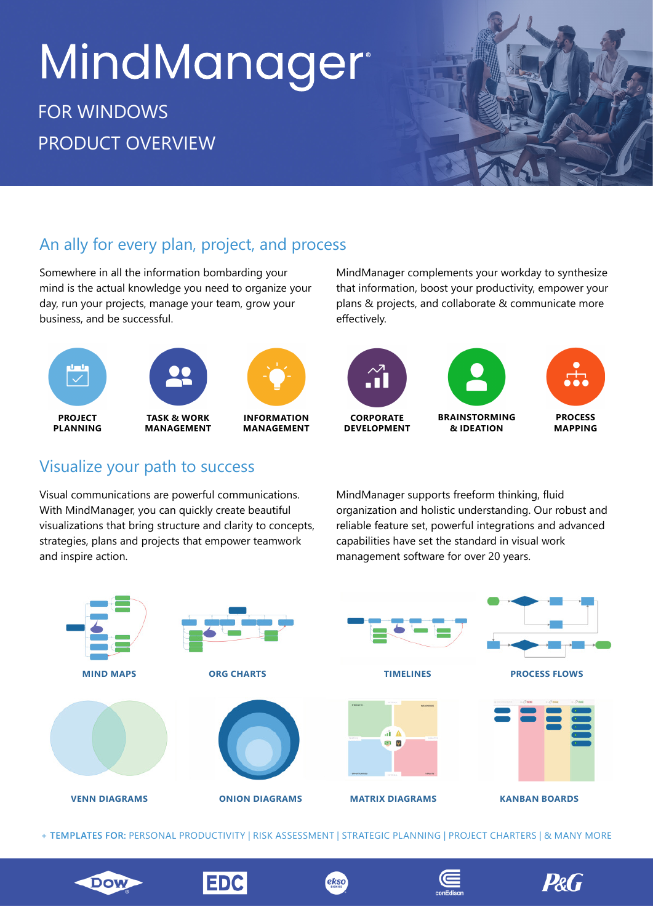# MindManager<sup>®</sup>

# FOR WINDOWS PRODUCT OVERVIEW



## An ally for every plan, project, and process

Somewhere in all the information bombarding your mind is the actual knowledge you need to organize your day, run your projects, manage your team, grow your business, and be successful.



## Visualize your path to success

Visual communications are powerful communications. With MindManager, you can quickly create beautiful visualizations that bring structure and clarity to concepts, strategies, plans and projects that empower teamwork and inspire action.

MindManager complements your workday to synthesize that information, boost your productivity, empower your plans & projects, and collaborate & communicate more effectively.



MindManager supports freeform thinking, fluid organization and holistic understanding. Our robust and reliable feature set, powerful integrations and advanced capabilities have set the standard in visual work management software for over 20 years.

**P&G** 



**+ TEMPLATES FOR:** PERSONAL PRODUCTIVITY | RISK ASSESSMENT | STRATEGIC PLANNING | PROJECT CHARTERS | & MANY MORE

ekso

**EDC** 

**Dow**